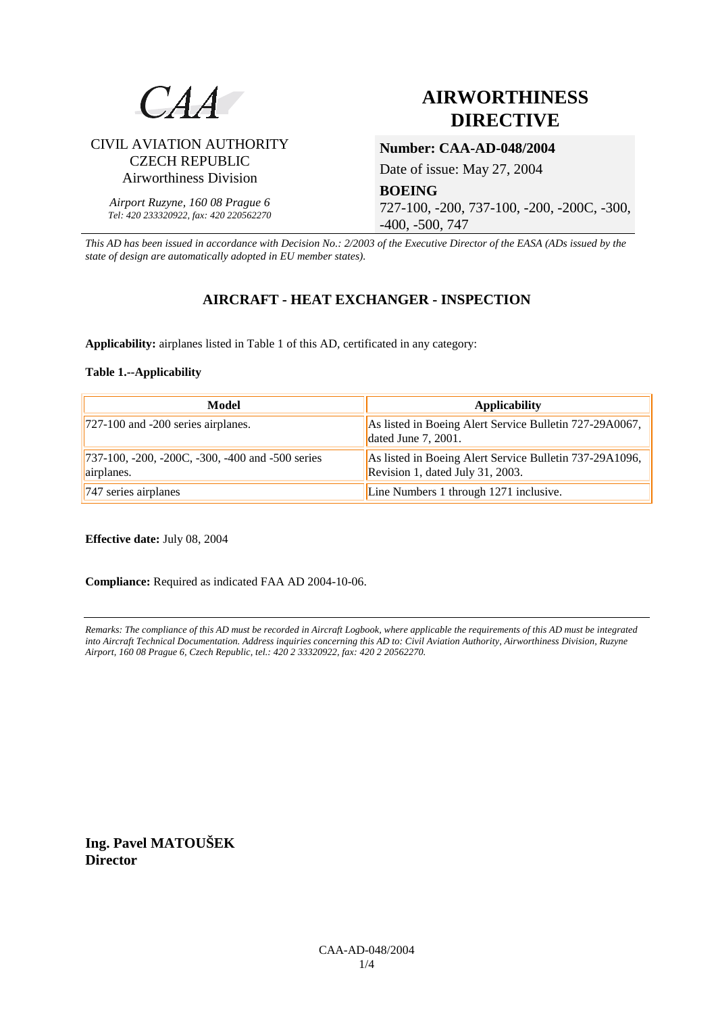

CIVIL AVIATION AUTHORITY CZECH REPUBLIC Airworthiness Division

*Airport Ruzyne, 160 08 Prague 6 Tel: 420 233320922, fax: 420 220562270*

# **AIRWORTHINESS DIRECTIVE**

# **Number: CAA-AD-048/2004**

Date of issue: May 27, 2004

**BOEING** 727-100, -200, 737-100, -200, -200C, -300, -400, -500, 747

*This AD has been issued in accordance with Decision No.: 2/2003 of the Executive Director of the EASA (ADs issued by the state of design are automatically adopted in EU member states).*

## **AIRCRAFT - HEAT EXCHANGER - INSPECTION**

**Applicability:** airplanes listed in Table 1 of this AD, certificated in any category:

#### **Table 1.--Applicability**

| Model                                                           | <b>Applicability</b>                                                                        |
|-----------------------------------------------------------------|---------------------------------------------------------------------------------------------|
| $\left  727 - 100 \right $ and -200 series airplanes.           | As listed in Boeing Alert Service Bulletin 727-29A0067,<br>dated June $7, 2001$ .           |
| [737-100, -200, -200C, -300, -400 and -500 series<br>airplanes. | As listed in Boeing Alert Service Bulletin 737-29A1096,<br>Revision 1, dated July 31, 2003. |
| $\sqrt{747}$ series airplanes                                   | Line Numbers 1 through 1271 inclusive.                                                      |

**Effective date:** July 08, 2004

**Compliance:** Required as indicated FAA AD 2004-10-06.

*Remarks: The compliance of this AD must be recorded in Aircraft Logbook, where applicable the requirements of this AD must be integrated into Aircraft Technical Documentation. Address inquiries concerning this AD to: Civil Aviation Authority, Airworthiness Division, Ruzyne Airport, 160 08 Prague 6, Czech Republic, tel.: 420 2 33320922, fax: 420 2 20562270.* 

**Ing. Pavel MATOUŠEK Director**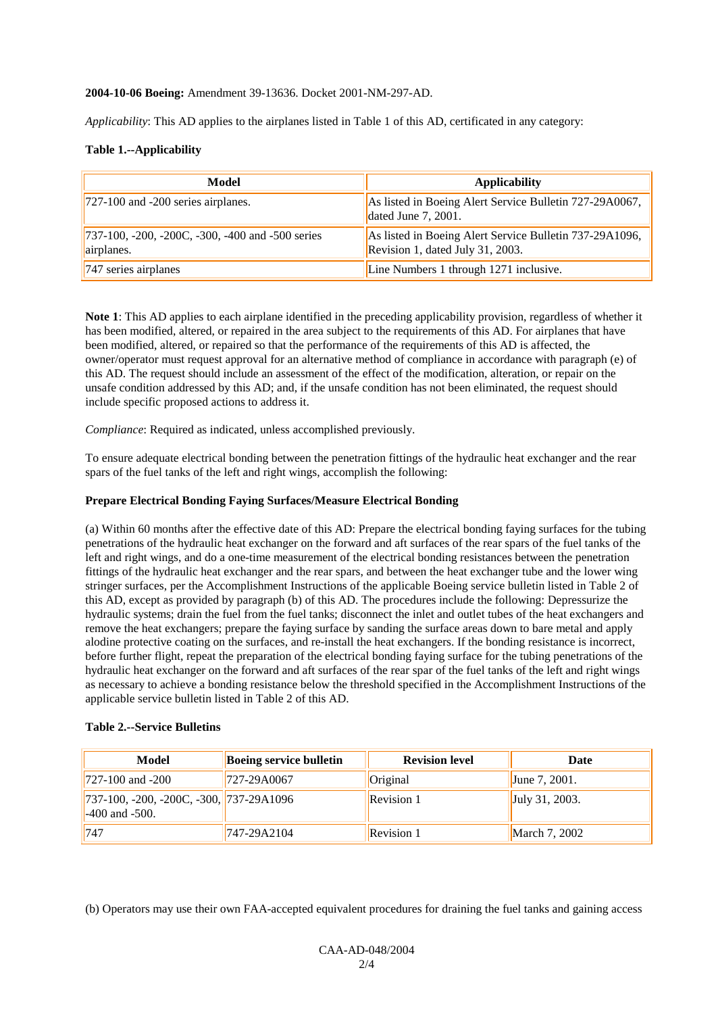#### **2004-10-06 Boeing:** Amendment 39-13636. Docket 2001-NM-297-AD.

*Applicability*: This AD applies to the airplanes listed in Table 1 of this AD, certificated in any category:

#### **Table 1.--Applicability**

| Model                                                          | <b>Applicability</b>                                                                        |
|----------------------------------------------------------------|---------------------------------------------------------------------------------------------|
| $727-100$ and $-200$ series airplanes.                         | As listed in Boeing Alert Service Bulletin 727-29A0067,<br>dated June $7, 2001$ .           |
| 737-100, -200, -200C, -300, -400 and -500 series<br>airplanes. | As listed in Boeing Alert Service Bulletin 737-29A1096,<br>Revision 1, dated July 31, 2003. |
| $\sqrt{747}$ series airplanes                                  | Line Numbers 1 through 1271 inclusive.                                                      |

**Note 1**: This AD applies to each airplane identified in the preceding applicability provision, regardless of whether it has been modified, altered, or repaired in the area subject to the requirements of this AD. For airplanes that have been modified, altered, or repaired so that the performance of the requirements of this AD is affected, the owner/operator must request approval for an alternative method of compliance in accordance with paragraph (e) of this AD. The request should include an assessment of the effect of the modification, alteration, or repair on the unsafe condition addressed by this AD; and, if the unsafe condition has not been eliminated, the request should include specific proposed actions to address it.

*Compliance*: Required as indicated, unless accomplished previously.

To ensure adequate electrical bonding between the penetration fittings of the hydraulic heat exchanger and the rear spars of the fuel tanks of the left and right wings, accomplish the following:

#### **Prepare Electrical Bonding Faying Surfaces/Measure Electrical Bonding**

(a) Within 60 months after the effective date of this AD: Prepare the electrical bonding faying surfaces for the tubing penetrations of the hydraulic heat exchanger on the forward and aft surfaces of the rear spars of the fuel tanks of the left and right wings, and do a one-time measurement of the electrical bonding resistances between the penetration fittings of the hydraulic heat exchanger and the rear spars, and between the heat exchanger tube and the lower wing stringer surfaces, per the Accomplishment Instructions of the applicable Boeing service bulletin listed in Table 2 of this AD, except as provided by paragraph (b) of this AD. The procedures include the following: Depressurize the hydraulic systems; drain the fuel from the fuel tanks; disconnect the inlet and outlet tubes of the heat exchangers and remove the heat exchangers; prepare the faying surface by sanding the surface areas down to bare metal and apply alodine protective coating on the surfaces, and re-install the heat exchangers. If the bonding resistance is incorrect, before further flight, repeat the preparation of the electrical bonding faying surface for the tubing penetrations of the hydraulic heat exchanger on the forward and aft surfaces of the rear spar of the fuel tanks of the left and right wings as necessary to achieve a bonding resistance below the threshold specified in the Accomplishment Instructions of the applicable service bulletin listed in Table 2 of this AD.

#### **Table 2.--Service Bulletins**

| Model                                                                                   | <b>Boeing service bulletin</b> | <b>Revision level</b> | Date             |
|-----------------------------------------------------------------------------------------|--------------------------------|-----------------------|------------------|
| $1727 - 100$ and $-200$                                                                 | 727-29A0067                    | Original              | June $7, 2001$ . |
| $\left  737-100, -200, -200C, -300, \right  737-29A1096 \right $<br>$-400$ and $-500$ . |                                | <b>Revision 1</b>     | July 31, 2003.   |
| 747                                                                                     | 747-29A2104                    | <b>Revision 1</b>     | March 7, 2002    |

(b) Operators may use their own FAA-accepted equivalent procedures for draining the fuel tanks and gaining access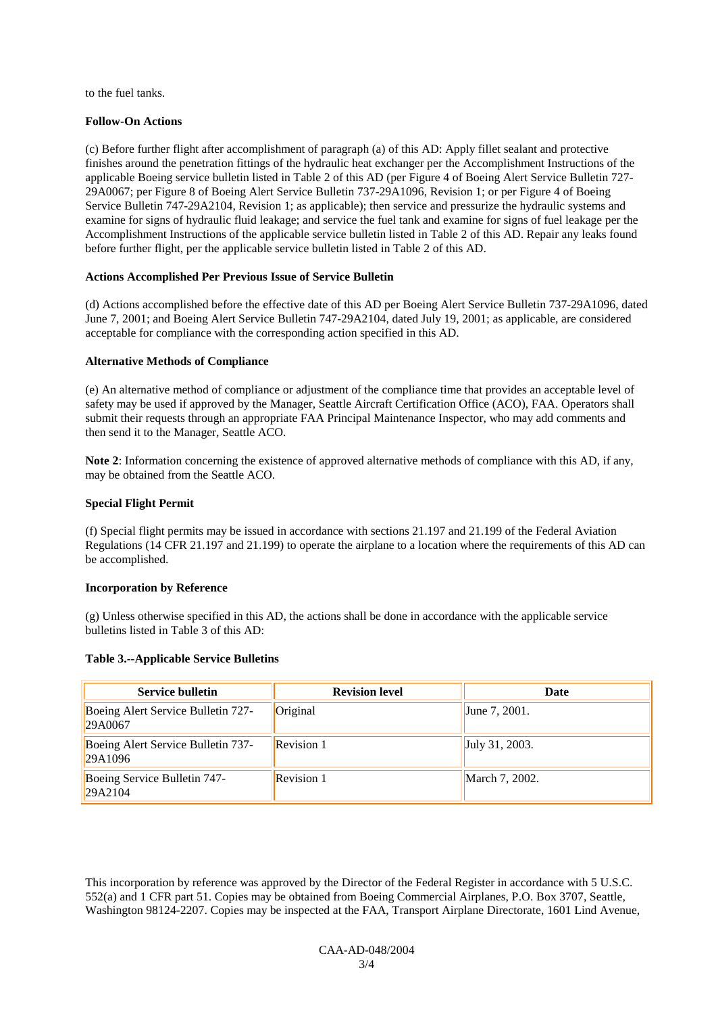to the fuel tanks.

#### **Follow-On Actions**

(c) Before further flight after accomplishment of paragraph (a) of this AD: Apply fillet sealant and protective finishes around the penetration fittings of the hydraulic heat exchanger per the Accomplishment Instructions of the applicable Boeing service bulletin listed in Table 2 of this AD (per Figure 4 of Boeing Alert Service Bulletin 727- 29A0067; per Figure 8 of Boeing Alert Service Bulletin 737-29A1096, Revision 1; or per Figure 4 of Boeing Service Bulletin 747-29A2104, Revision 1; as applicable); then service and pressurize the hydraulic systems and examine for signs of hydraulic fluid leakage; and service the fuel tank and examine for signs of fuel leakage per the Accomplishment Instructions of the applicable service bulletin listed in Table 2 of this AD. Repair any leaks found before further flight, per the applicable service bulletin listed in Table 2 of this AD.

#### **Actions Accomplished Per Previous Issue of Service Bulletin**

(d) Actions accomplished before the effective date of this AD per Boeing Alert Service Bulletin 737-29A1096, dated June 7, 2001; and Boeing Alert Service Bulletin 747-29A2104, dated July 19, 2001; as applicable, are considered acceptable for compliance with the corresponding action specified in this AD.

#### **Alternative Methods of Compliance**

(e) An alternative method of compliance or adjustment of the compliance time that provides an acceptable level of safety may be used if approved by the Manager, Seattle Aircraft Certification Office (ACO), FAA. Operators shall submit their requests through an appropriate FAA Principal Maintenance Inspector, who may add comments and then send it to the Manager, Seattle ACO.

**Note 2**: Information concerning the existence of approved alternative methods of compliance with this AD, if any, may be obtained from the Seattle ACO.

#### **Special Flight Permit**

(f) Special flight permits may be issued in accordance with sections 21.197 and 21.199 of the Federal Aviation Regulations (14 CFR 21.197 and 21.199) to operate the airplane to a location where the requirements of this AD can be accomplished.

#### **Incorporation by Reference**

(g) Unless otherwise specified in this AD, the actions shall be done in accordance with the applicable service bulletins listed in Table 3 of this AD:

#### **Table 3.--Applicable Service Bulletins**

| <b>Service bulletin</b>                       | <b>Revision level</b> | Date                   |
|-----------------------------------------------|-----------------------|------------------------|
| Boeing Alert Service Bulletin 727-<br>29A0067 | Original              | June 7, 2001.          |
| Boeing Alert Service Bulletin 737-<br>29A1096 | <b>Revision 1</b>     | $\vert$ July 31, 2003. |
| Boeing Service Bulletin 747-<br>29A2104       | <b>Revision 1</b>     | March 7, 2002.         |

This incorporation by reference was approved by the Director of the Federal Register in accordance with 5 U.S.C. 552(a) and 1 CFR part 51. Copies may be obtained from Boeing Commercial Airplanes, P.O. Box 3707, Seattle, Washington 98124-2207. Copies may be inspected at the FAA, Transport Airplane Directorate, 1601 Lind Avenue,